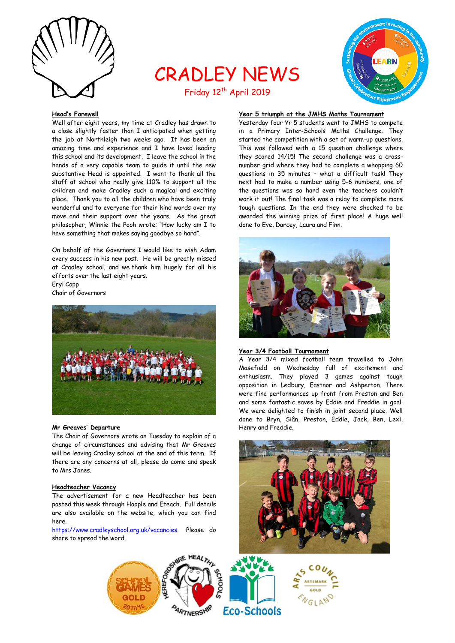

# CRADLEY NEWS Friday 12<sup>th</sup> April 2019



## **Head's Farewell**

Well after eight years, my time at Cradley has drawn to a close slightly faster than I anticipated when getting the job at Northleigh two weeks ago. It has been an amazing time and experience and I have loved leading this school and its development. I leave the school in the hands of a very capable team to guide it until the new substantive Head is appointed. I want to thank all the staff at school who really give 110% to support all the children and make Cradley such a magical and exciting place. Thank you to all the children who have been truly wonderful and to everyone for their kind words over my move and their support over the years. As the great philosopher, Winnie the Pooh wrote; "How lucky am I to have something that makes saying goodbye so hard".

On behalf of the Governors I would like to wish Adam every success in his new post. He will be greatly missed at Cradley school, and we thank him hugely for all his efforts over the last eight years. Eryl Copp

Chair of Governors



## **Mr Greaves' Departure**

The Chair of Governors wrote on Tuesday to explain of a change of circumstances and advising that Mr Greaves will be leaving Cradley school at the end of this term. If there are any concerns at all, please do come and speak to Mrs Jones.

## **Headteacher Vacancy**

The advertisement for a new Headteacher has been posted this week through Hoople and Eteach. Full details are also available on the website, which you can find here.

[https://www.cradleyschool.org.uk/vacancies.](https://www.cradleyschool.org.uk/vacancies) Please do share to spread the word.

# **Year 5 triumph at the JMHS Maths Tournament**

Yesterday four Yr 5 students went to JMHS to compete in a Primary Inter-Schools Maths Challenge. They started the competition with a set of warm-up questions. This was followed with a 15 question challenge where they scored 14/15! The second challenge was a crossnumber grid where they had to complete a whopping 60 questions in 35 minutes – what a difficult task! They next had to make a number using 5-6 numbers, one of the questions was so hard even the teachers couldn't work it out! The final task was a relay to complete more tough questions. In the end they were shocked to be awarded the winning prize of first place! A huge well done to Eve, Darcey, Laura and Finn.



#### **Year 3/4 Football Tournament**

A Year 3/4 mixed football team travelled to John Masefield on Wednesday full of excitement and enthusiasm. They played 3 games against tough opposition in Ledbury, Eastnor and Ashperton. There were fine performances up front from Preston and Ben and some fantastic saves by Eddie and Freddie in goal. We were delighted to finish in joint second place. Well done to Bryn, Siân, Preston, Eddie, Jack, Ben, Lexi, Henry and Freddie.



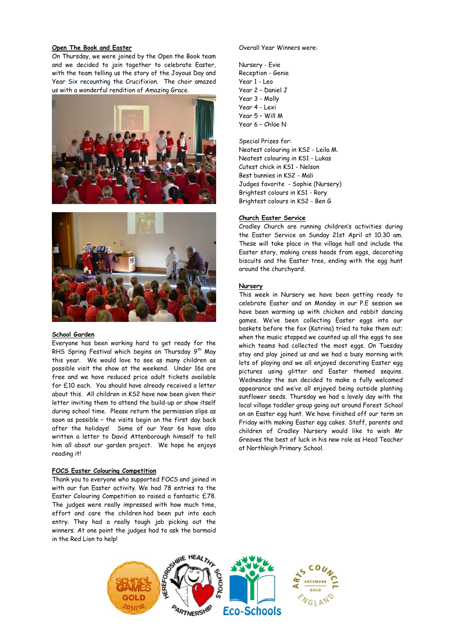## **Open The Book and Easter**

On Thursday, we were joined by the Open the Book team and we decided to join together to celebrate Easter, with the team telling us the story of the Joyous Day and Year Six recounting the Crucifixion. The choir amazed us with a wonderful rendition of Amazing Grace.





#### **School Garden**

Everyone has been working hard to get ready for the RHS Spring Festival which begins on Thursday 9<sup>th</sup> May this year. We would love to see as many children as possible visit the show at the weekend. Under 16s are free and we have reduced price adult tickets available for £10 each. You should have already received a letter about this. All children in KS2 have now been given their letter inviting them to attend the build-up or show itself during school time. Please return the permission slips as soon as possible – the visits begin on the first day back after the holidays! Some of our Year 6s have also written a letter to David Attenborough himself to tell him all about our garden project. We hope he enjoys reading it!

#### **FOCS Easter Colouring Competition**

Thank you to everyone who supported FOCS and joined in with our fun Easter activity. We had 78 entries to the Easter Colouring Competition so raised a fantastic £78. The judges were really impressed with how much time, effort and care the children had been put into each entry. They had a really tough job picking out the winners. At one point the judges had to ask the barmaid in the Red Lion to help!

#### Overall Year Winners were:

Nursery - Evie Reception - Genie Year 1 - Leo Year 2 – Daniel J Year 3 - Molly Year 4 - Lexi Year 5 – Will M Year 6 – Chloe N

Special Prizes for: Neatest colouring in KS2 - Leila M. Neatest colouring in KS1 - Lukas Cutest chick in KS1 - Nelson Best bunnies in KS2 - Mali Judges favorite - Sophie (Nursery) Brightest colours in KS1 - Rory Brightest colours in KS2 - Ben G

#### **Church Easter Service**

Cradley Church are running children's activities during the Easter Service on Sunday 21st April at 10.30 am. These will take place in the village hall and include the Easter story, making cress heads from eggs, decorating biscuits and the Easter tree, ending with the egg hunt around the churchyard.

#### **Nursery**

This week in Nursery we have been getting ready to celebrate Easter and on Monday in our P.E session we have been warming up with chicken and rabbit dancing games. We've been collecting Easter eggs into our baskets before the fox (Katrina) tried to take them out; when the music stopped we counted up all the eggs to see which teams had collected the most eggs. On Tuesday stay and play joined us and we had a busy morning with lots of playing and we all enjoyed decorating Easter egg pictures using glitter and Easter themed sequins. Wednesday the sun decided to make a fully welcomed appearance and we've all enjoyed being outside planting sunflower seeds. Thursday we had a lovely day with the local village toddler group going out around Forest School on an Easter egg hunt. We have finished off our term on Friday with making Easter egg cakes. Staff, parents and children of Cradley Nursery would like to wish Mr Greaves the best of luck in his new role as Head Teacher at Northleigh Primary School.

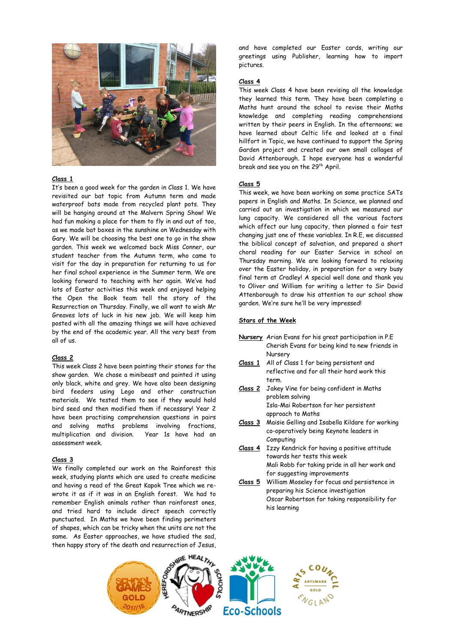

## **Class 1**

It's been a good week for the garden in Class 1. We have revisited our bat topic from Autumn term and made waterproof bats made from recycled plant pots. They will be hanging around at the Malvern Spring Show! We had fun making a place for them to fly in and out of too, as we made bat boxes in the sunshine on Wednesday with Gary. We will be choosing the best one to go in the show garden. This week we welcomed back Miss Conner, our student teacher from the Autumn term, who came to visit for the day in preparation for returning to us for her final school experience in the Summer term. We are looking forward to teaching with her again. We've had lots of Easter activities this week and enjoyed helping the Open the Book team tell the story of the Resurrection on Thursday. Finally, we all want to wish Mr Greaves lots of luck in his new job. We will keep him posted with all the amazing things we will have achieved by the end of the academic year. All the very best from all of us.

#### **Class 2**

This week Class 2 have been painting their stones for the show garden. We chose a minibeast and painted it using only black, white and grey. We have also been designing bird feeders using Lego and other construction materials. We tested them to see if they would hold bird seed and then modified them if necessary! Year 2 have been practising comprehension questions in pairs and solving maths problems involving fractions, multiplication and division. Year 1s have had an assessment week.

#### **Class 3**

We finally completed our work on the Rainforest this week, studying plants which are used to create medicine and having a read of the Great Kapok Tree which we rewrote it as if it was in an English forest. We had to remember English animals rather than rainforest ones, and tried hard to include direct speech correctly punctuated. In Maths we have been finding perimeters of shapes, which can be tricky when the units are not the same. As Easter approaches, we have studied the sad, then happy story of the death and resurrection of Jesus,

and have completed our Easter cards, writing our greetings using Publisher, learning how to import pictures.

## **Class 4**

This week Class 4 have been revising all the knowledge they learned this term. They have been completing a Maths hunt around the school to revise their Maths knowledge and completing reading comprehensions written by their peers in English. In the afternoons; we have learned about Celtic life and looked at a final hillfort in Topic, we have continued to support the Spring Garden project and created our own small collages of David Attenborough. I hope everyone has a wonderful break and see you on the 29<sup>th</sup> April.

#### **Class 5**

This week, we have been working on some practice SATs papers in English and Maths. In Science, we planned and carried out an investigation in which we measured our lung capacity. We considered all the various factors which affect our lung capacity, then planned a fair test changing just one of these variables. In R.E, we discussed the biblical concept of salvation, and prepared a short choral reading for our Easter Service in school on Thursday morning. We are looking forward to relaxing over the Easter holiday, in preparation for a very busy final term at Cradley! A special well done and thank you to Oliver and William for writing a letter to Sir David Attenborough to draw his attention to our school show garden. We're sure he'll be very impressed!

#### **Stars of the Week**

- **Nursery** Arian Evans for his great participation in P.E Cherish Evans for being kind to new friends in Nursery
- **Class 1** All of Class 1 for being persistent and reflective and for all their hard work this term.
- **Class 2** Jakey Vine for being confident in Maths problem solving Isla-Mai Robertson for her persistent approach to Maths
- **Class 3** Maisie Gelling and Isabella Kildare for working co-operatively being Keynote leaders in Computing
- **Class 4** Izzy Kendrick for having a positive attitude towards her tests this week Mali Robb for taking pride in all her work and for suggesting improvements
- **Class 5** William Moseley for focus and persistence in preparing his Science investigation Oscar Robertson for taking responsibility for his learning